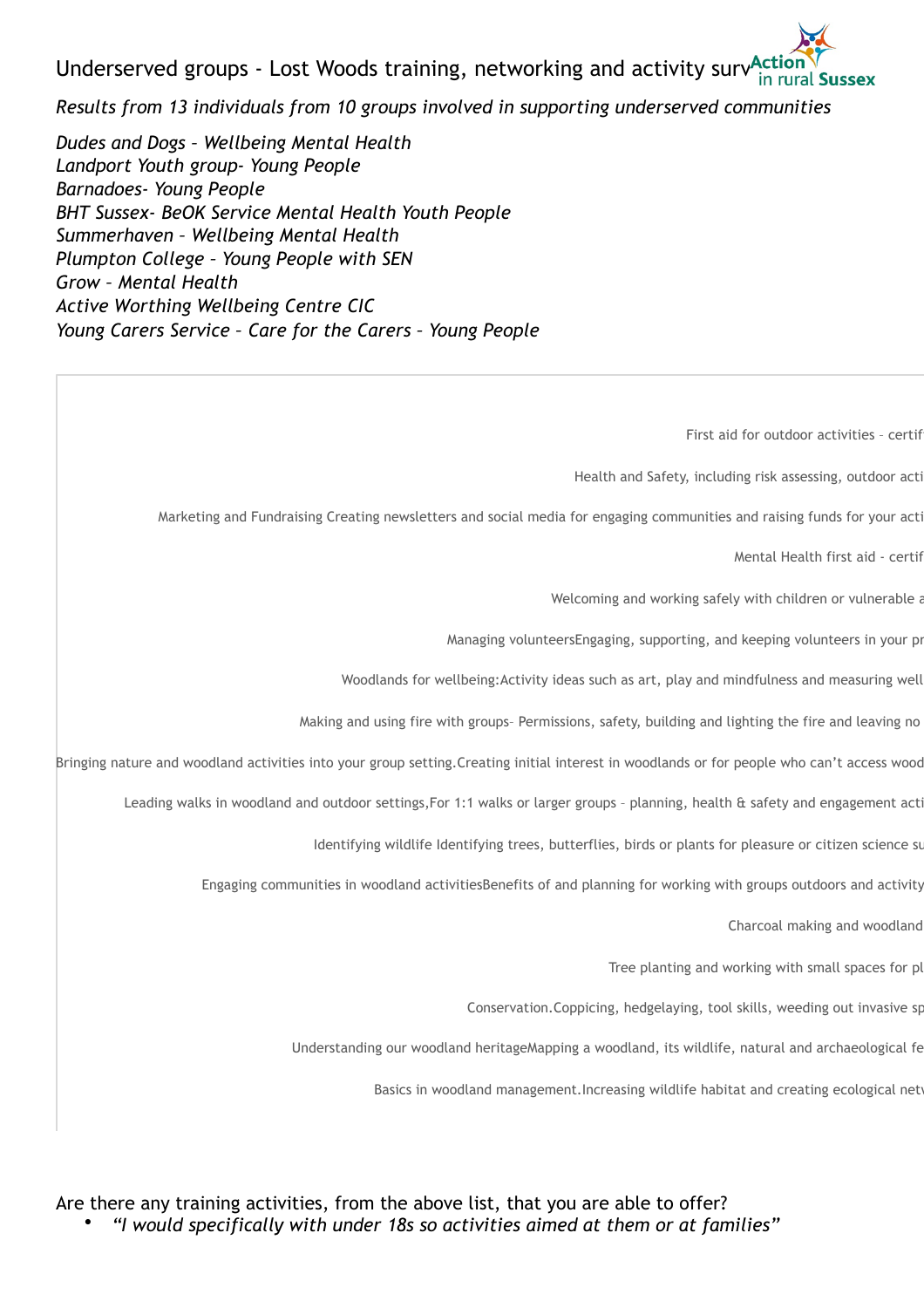Underserved groups - Lost Woods training, networking and activity surv $A_{in}^{ccl}$ 

*Results from 13 individuals from 10 groups involved in supporting underserved communities* 

*Dudes and Dogs – Wellbeing Mental Health Landport Youth group- Young People Barnadoes- Young People BHT Sussex- BeOK Service Mental Health Youth People Summerhaven – Wellbeing Mental Health Plumpton College – Young People with SEN Grow – Mental Health Active Worthing Wellbeing Centre CIC Young Carers Service – Care for the Carers – Young People* 

First aid for outdoor activities - certif

Health and Safety, including risk assessing, outdoor acti

Marketing and Fundraising Creating newsletters and social media for engaging communities and raising funds for your acti

Mental Health first aid - certif

Welcoming and working safely with children or vulnerable a

Managing volunteersEngaging, supporting, and keeping volunteers in your pro

Woodlands for wellbeing: Activity ideas such as art, play and mindfulness and measuring well

Making and using fire with groups- Permissions, safety, building and lighting the fire and leaving no

Bringing nature and woodland activities into your group setting. Creating initial interest in woodlands or for people who can't access wood

Leading walks in woodland and outdoor settings,For 1:1 walks or larger groups - planning, health & safety and engagement acti

Identifying wildlife Identifying trees, butterflies, birds or plants for pleasure or citizen science sur

Engaging communities in woodland activitiesBenefits of and planning for working with groups outdoors and activity

Charcoal making and woodland

Tree planting and working with small spaces for pl

Conservation.Coppicing, hedgelaying, tool skills, weeding out invasive sp

Understanding our woodland heritageMapping a woodland, its wildlife, natural and archaeological fe

Basics in woodland management.Increasing wildlife habitat and creating ecological networks.

Are there any training activities, from the above list, that you are able to offer? • *"I would specifically with under 18s so activities aimed at them or at families"*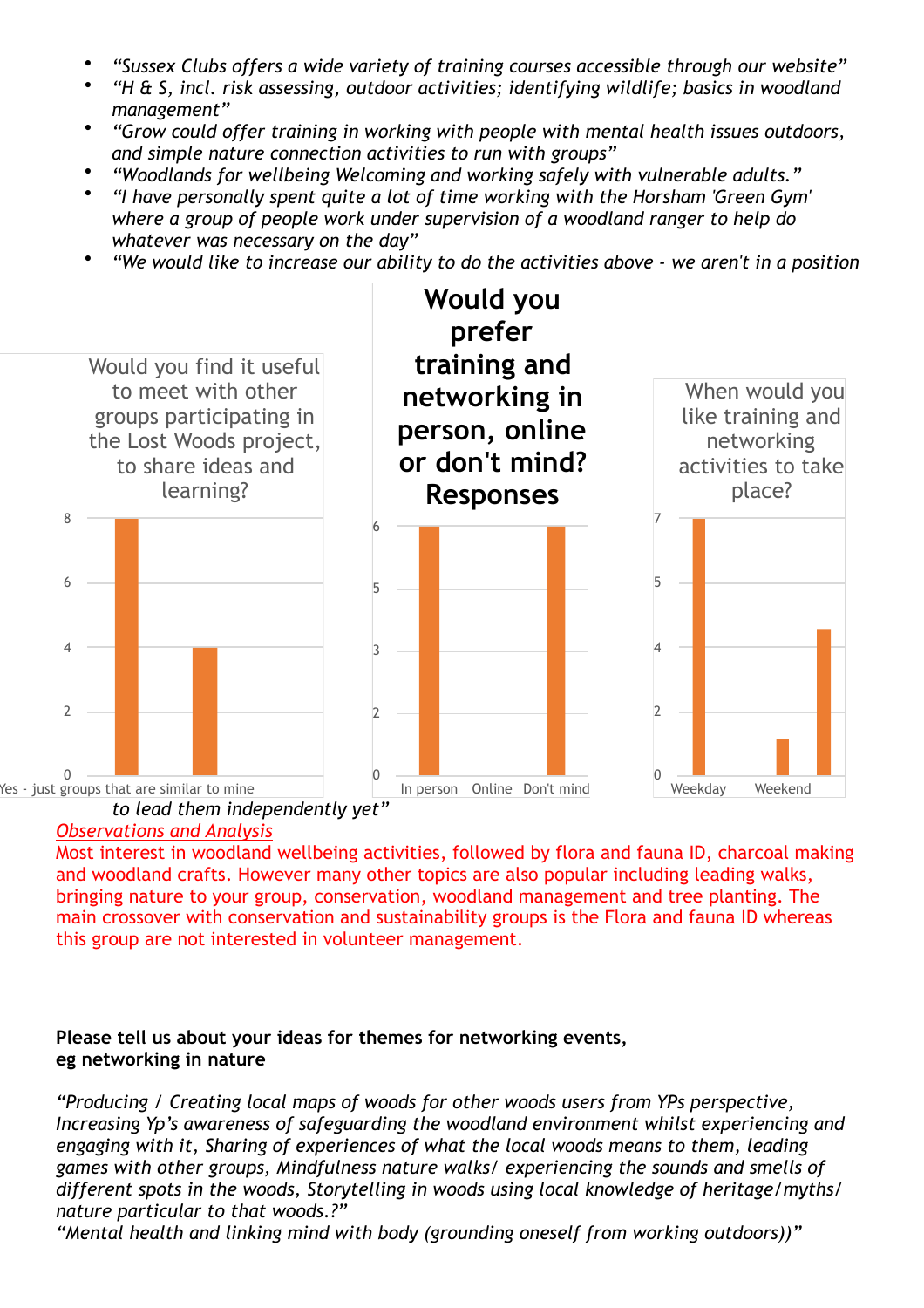- *"Sussex Clubs offers a wide variety of training courses accessible through our website"*
- *"H & S, incl. risk assessing, outdoor activities; identifying wildlife; basics in woodland management"*
- *"Grow could offer training in working with people with mental health issues outdoors, and simple nature connection activities to run with groups"*
- *"Woodlands for wellbeing Welcoming and working safely with vulnerable adults."*
- *"I have personally spent quite a lot of time working with the Horsham 'Green Gym' where a group of people work under supervision of a woodland ranger to help do whatever was necessary on the day"*
- *"We would like to increase our ability to do the activities above we aren't in a position*



### *Observations and Analysis*

Most interest in woodland wellbeing activities, followed by flora and fauna ID, charcoal making and woodland crafts. However many other topics are also popular including leading walks, bringing nature to your group, conservation, woodland management and tree planting. The main crossover with conservation and sustainability groups is the Flora and fauna ID whereas this group are not interested in volunteer management.

## **Please tell us about your ideas for themes for networking events, eg networking in nature**

*"Producing / Creating local maps of woods for other woods users from YPs perspective, Increasing Yp's awareness of safeguarding the woodland environment whilst experiencing and engaging with it, Sharing of experiences of what the local woods means to them, leading games with other groups, Mindfulness nature walks/ experiencing the sounds and smells of different spots in the woods, Storytelling in woods using local knowledge of heritage/myths/ nature particular to that woods.?"* 

*"Mental health and linking mind with body (grounding oneself from working outdoors))"*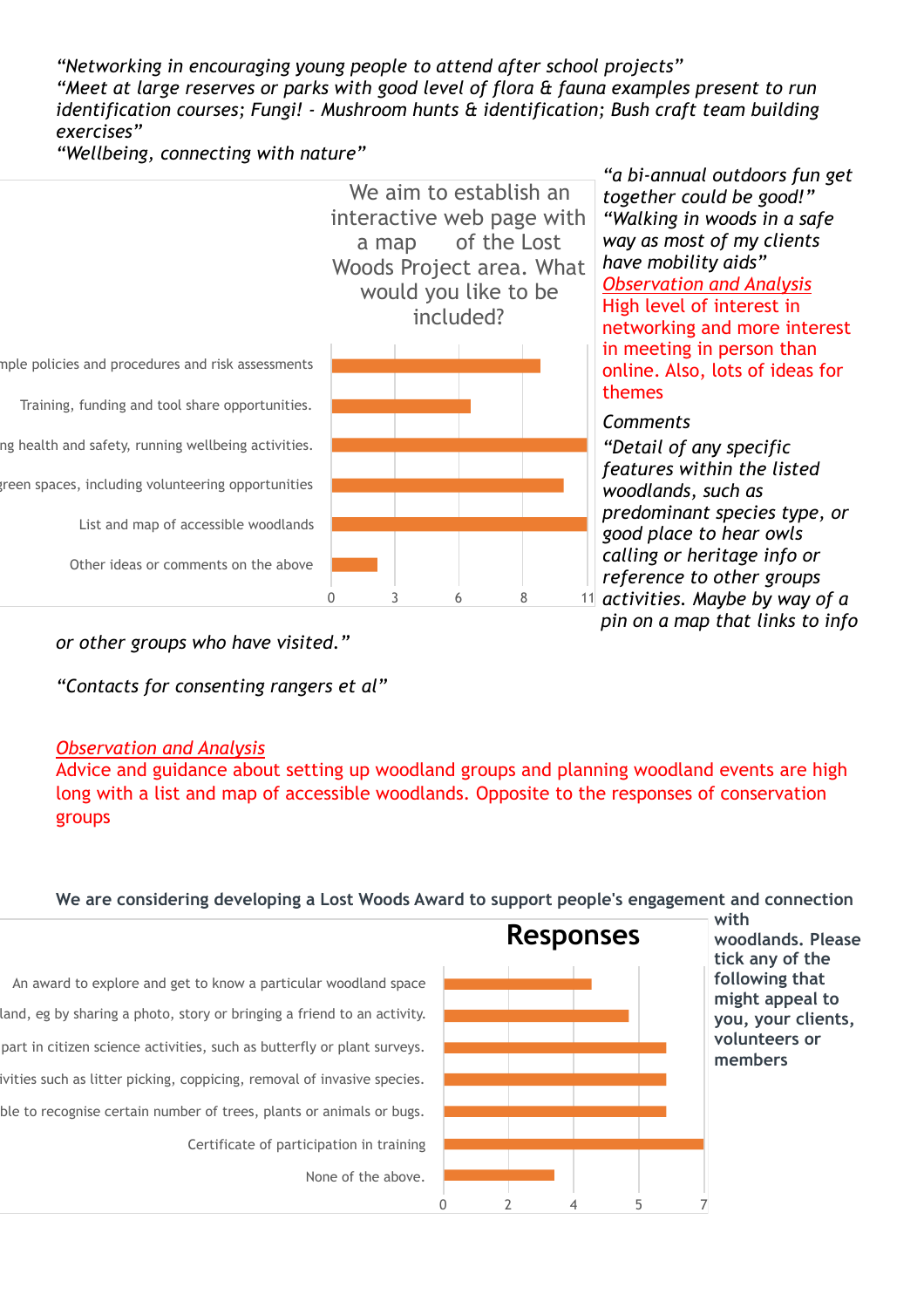*"Networking in encouraging young people to attend after school projects" "Meet at large reserves or parks with good level of flora & fauna examples present to run identification courses; Fungi! - Mushroom hunts & identification; Bush craft team building exercises"* 

*"Wellbeing, connecting with nature"* 



*pin on a map that links to info* 

*or other groups who have visited."* 

*"Contacts for consenting rangers et al"* 

### *Observation and Analysis*

Advice and guidance about setting up woodland groups and planning woodland events are high long with a list and map of accessible woodlands. Opposite to the responses of conservation groups

#### **We are considering developing a Lost Woods Award to support people's engagement and connection**

An award to explore and get to know a particular woodland space land, eg by sharing a photo, story or bringing a friend to an activity. part in citizen science activities, such as butterfly or plant surveys. ivities such as litter picking, coppicing, removal of invasive species. ble to recognise certain number of trees, plants or animals or bugs. Certificate of participation in training None of the above.



**with woodlands. Please tick any of the following that might appeal to you, your clients, volunteers or members**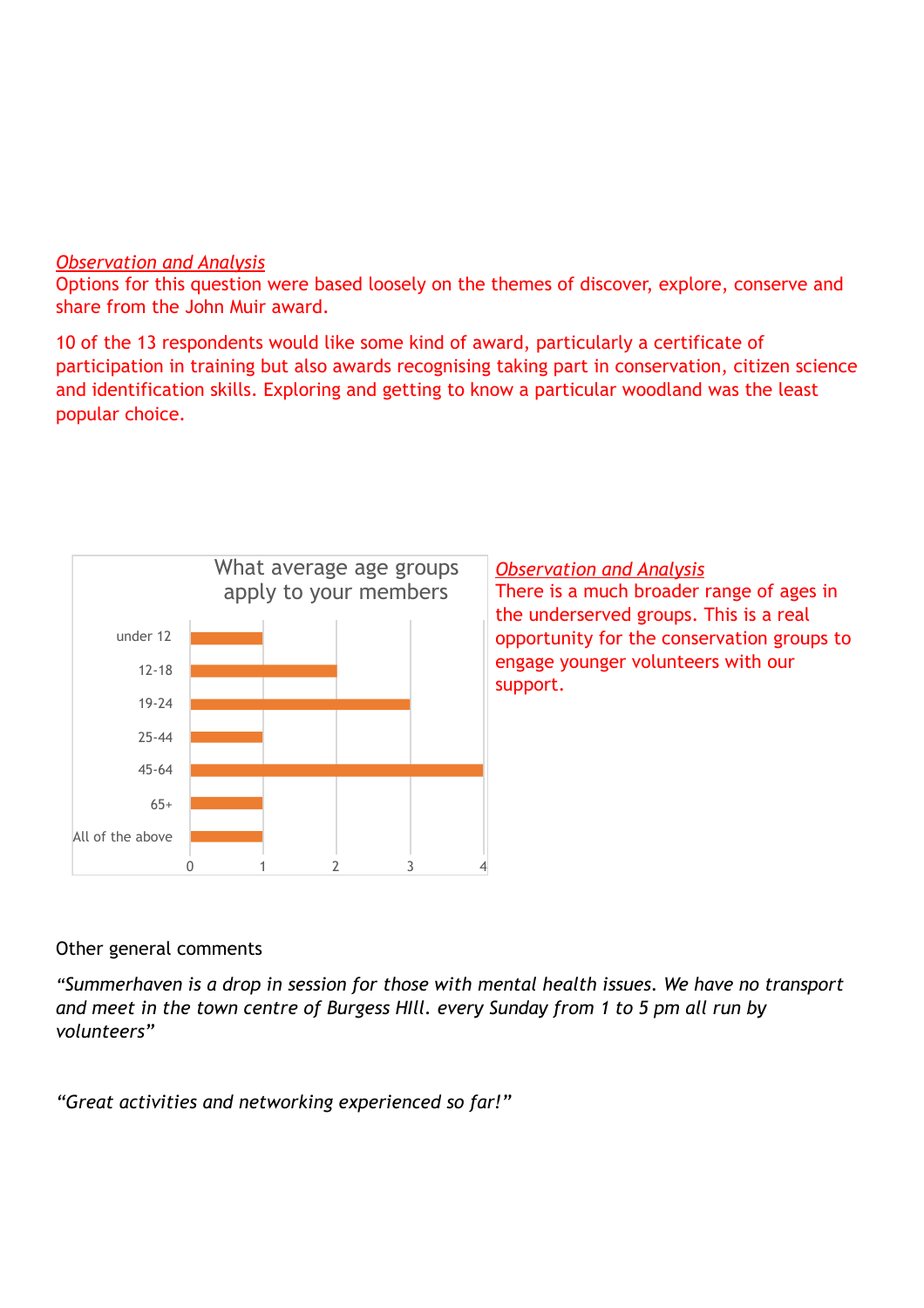# *Observation and Analysis*

Options for this question were based loosely on the themes of discover, explore, conserve and share from the John Muir award.

10 of the 13 respondents would like some kind of award, particularly a certificate of participation in training but also awards recognising taking part in conservation, citizen science and identification skills. Exploring and getting to know a particular woodland was the least popular choice.



# Other general comments

*"Summerhaven is a drop in session for those with mental health issues. We have no transport and meet in the town centre of Burgess HIll. every Sunday from 1 to 5 pm all run by volunteers"* 

*"Great activities and networking experienced so far!"*